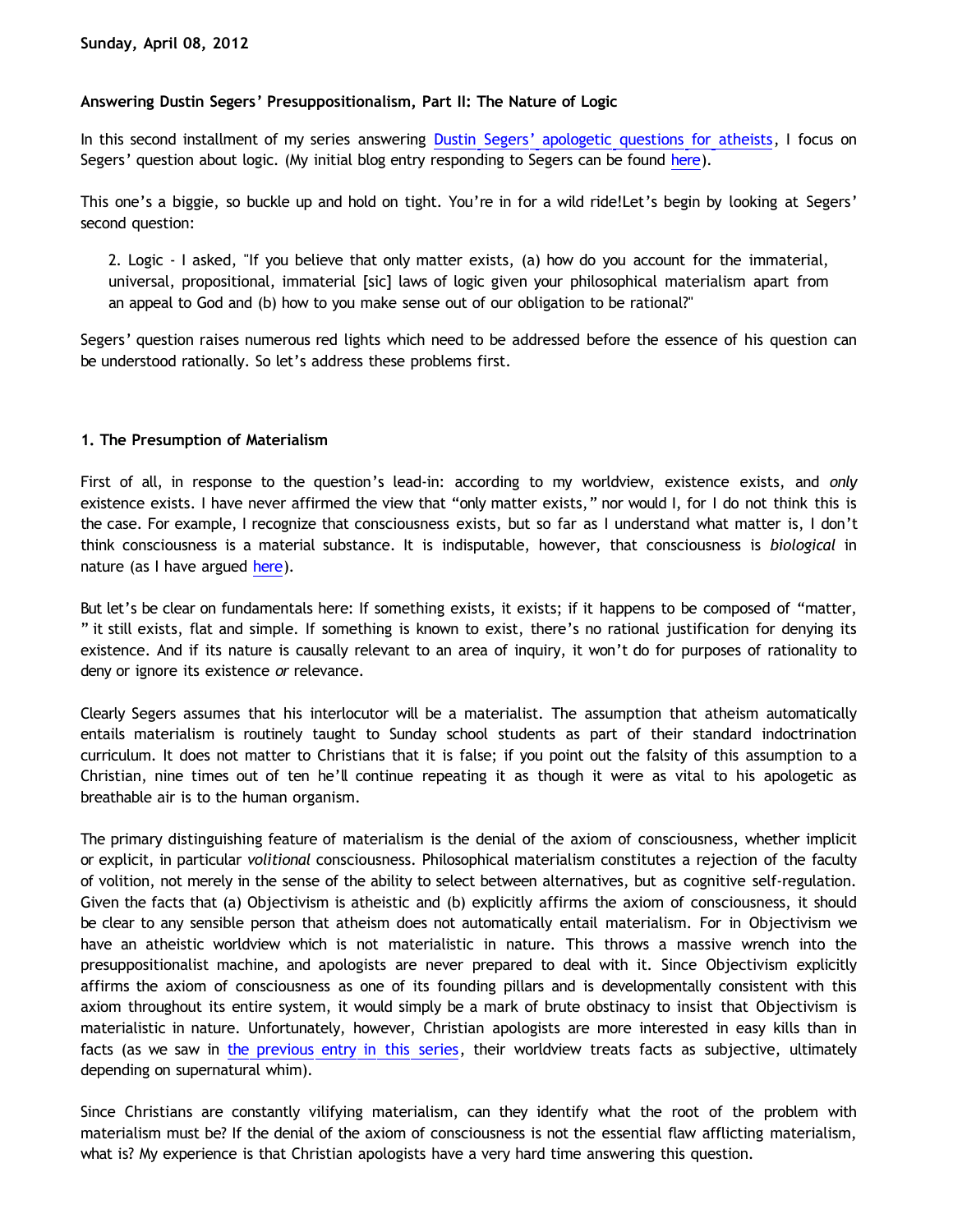# **Answering Dustin Segers' Presuppositionalism, Part II: The Nature of Logic**

In this second installment of my series answering [Dustin Segers' apologetic questions for atheists](http://graceinthetriad.blogspot.com/2012/03/outreach-report-reason-rally-2012.html), I focus on Segers' question about logic. (My initial blog entry responding to Segers can be found [here\)](http://bahnsenburner.blogspot.com/2012/04/answering-dustin-segers.html).

This one's a biggie, so buckle up and hold on tight. You're in for a wild ride!Let's begin by looking at Segers' second question:

2. Logic - I asked, "If you believe that only matter exists, (a) how do you account for the immaterial, universal, propositional, immaterial [sic] laws of logic given your philosophical materialism apart from an appeal to God and (b) how to you make sense out of our obligation to be rational?"

Segers' question raises numerous red lights which need to be addressed before the essence of his question can be understood rationally. So let's address these problems first.

## **1. The Presumption of Materialism**

First of all, in response to the question's lead-in: according to my worldview, existence exists, and *only* existence exists. I have never affirmed the view that "only matter exists," nor would I, for I do not think this is the case. For example, I recognize that consciousness exists, but so far as I understand what matter is, I don't think consciousness is a material substance. It is indisputable, however, that consciousness is *biological* in nature (as I have argued [here](http://bahnsenburner.blogspot.com/2010/06/biological-nature-of-consciousness.html)).

But let's be clear on fundamentals here: If something exists, it exists; if it happens to be composed of "matter, " it still exists, flat and simple. If something is known to exist, there's no rational justification for denying its existence. And if its nature is causally relevant to an area of inquiry, it won't do for purposes of rationality to deny or ignore its existence *or* relevance.

Clearly Segers assumes that his interlocutor will be a materialist. The assumption that atheism automatically entails materialism is routinely taught to Sunday school students as part of their standard indoctrination curriculum. It does not matter to Christians that it is false; if you point out the falsity of this assumption to a Christian, nine times out of ten he'll continue repeating it as though it were as vital to his apologetic as breathable air is to the human organism.

The primary distinguishing feature of materialism is the denial of the axiom of consciousness, whether implicit or explicit, in particular *volitional* consciousness. Philosophical materialism constitutes a rejection of the faculty of volition, not merely in the sense of the ability to select between alternatives, but as cognitive self-regulation. Given the facts that (a) Objectivism is atheistic and (b) explicitly affirms the axiom of consciousness, it should be clear to any sensible person that atheism does not automatically entail materialism. For in Objectivism we have an atheistic worldview which is not materialistic in nature. This throws a massive wrench into the presuppositionalist machine, and apologists are never prepared to deal with it. Since Objectivism explicitly affirms the axiom of consciousness as one of its founding pillars and is developmentally consistent with this axiom throughout its entire system, it would simply be a mark of brute obstinacy to insist that Objectivism is materialistic in nature. Unfortunately, however, Christian apologists are more interested in easy kills than in facts (as we saw in [the previous entry in this series,](http://bahnsenburner.blogspot.com/2012/04/answering-dustin-segers.html) their worldview treats facts as subjective, ultimately depending on supernatural whim).

Since Christians are constantly vilifying materialism, can they identify what the root of the problem with materialism must be? If the denial of the axiom of consciousness is not the essential flaw afflicting materialism, what is? My experience is that Christian apologists have a very hard time answering this question.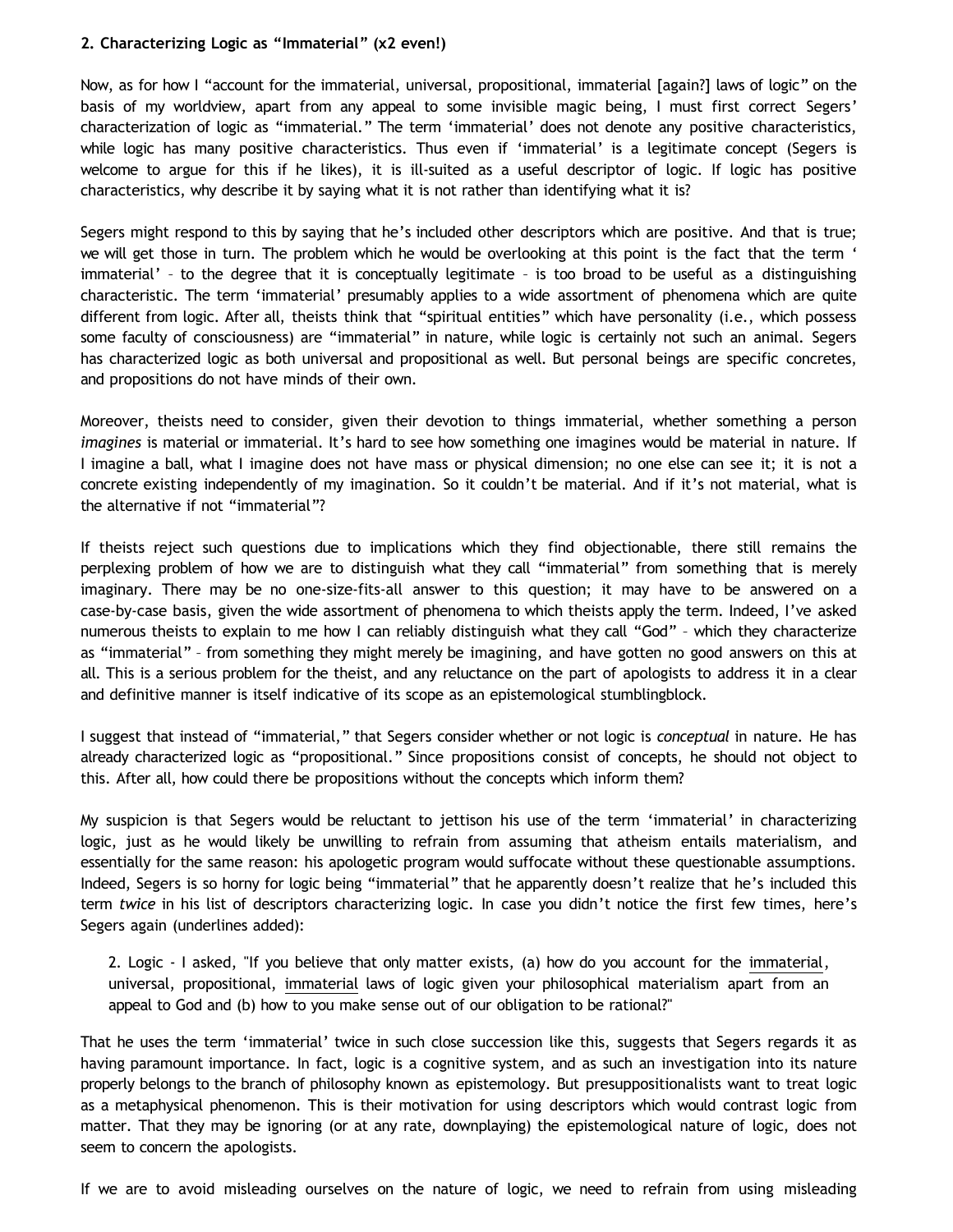# **2. Characterizing Logic as "Immaterial" (x2 even!)**

Now, as for how I "account for the immaterial, universal, propositional, immaterial [again?] laws of logic" on the basis of my worldview, apart from any appeal to some invisible magic being, I must first correct Segers' characterization of logic as "immaterial." The term 'immaterial' does not denote any positive characteristics, while logic has many positive characteristics. Thus even if 'immaterial' is a legitimate concept (Segers is welcome to argue for this if he likes), it is ill-suited as a useful descriptor of logic. If logic has positive characteristics, why describe it by saying what it is not rather than identifying what it is?

Segers might respond to this by saying that he's included other descriptors which are positive. And that is true; we will get those in turn. The problem which he would be overlooking at this point is the fact that the term ' immaterial' – to the degree that it is conceptually legitimate – is too broad to be useful as a distinguishing characteristic. The term 'immaterial' presumably applies to a wide assortment of phenomena which are quite different from logic. After all, theists think that "spiritual entities" which have personality (i.e., which possess some faculty of consciousness) are "immaterial" in nature, while logic is certainly not such an animal. Segers has characterized logic as both universal and propositional as well. But personal beings are specific concretes, and propositions do not have minds of their own.

Moreover, theists need to consider, given their devotion to things immaterial, whether something a person *imagines* is material or immaterial. It's hard to see how something one imagines would be material in nature. If I imagine a ball, what I imagine does not have mass or physical dimension; no one else can see it; it is not a concrete existing independently of my imagination. So it couldn't be material. And if it's not material, what is the alternative if not "immaterial"?

If theists reject such questions due to implications which they find objectionable, there still remains the perplexing problem of how we are to distinguish what they call "immaterial" from something that is merely imaginary. There may be no one-size-fits-all answer to this question; it may have to be answered on a case-by-case basis, given the wide assortment of phenomena to which theists apply the term. Indeed, I've asked numerous theists to explain to me how I can reliably distinguish what they call "God" – which they characterize as "immaterial" – from something they might merely be imagining, and have gotten no good answers on this at all. This is a serious problem for the theist, and any reluctance on the part of apologists to address it in a clear and definitive manner is itself indicative of its scope as an epistemological stumblingblock.

I suggest that instead of "immaterial," that Segers consider whether or not logic is *conceptual* in nature. He has already characterized logic as "propositional." Since propositions consist of concepts, he should not object to this. After all, how could there be propositions without the concepts which inform them?

My suspicion is that Segers would be reluctant to jettison his use of the term 'immaterial' in characterizing logic, just as he would likely be unwilling to refrain from assuming that atheism entails materialism, and essentially for the same reason: his apologetic program would suffocate without these questionable assumptions. Indeed, Segers is so horny for logic being "immaterial" that he apparently doesn't realize that he's included this term *twice* in his list of descriptors characterizing logic. In case you didn't notice the first few times, here's Segers again (underlines added):

2. Logic - I asked, "If you believe that only matter exists, (a) how do you account for the immaterial, universal, propositional, immaterial laws of logic given your philosophical materialism apart from an appeal to God and (b) how to you make sense out of our obligation to be rational?"

That he uses the term 'immaterial' twice in such close succession like this, suggests that Segers regards it as having paramount importance. In fact, logic is a cognitive system, and as such an investigation into its nature properly belongs to the branch of philosophy known as epistemology. But presuppositionalists want to treat logic as a metaphysical phenomenon. This is their motivation for using descriptors which would contrast logic from matter. That they may be ignoring (or at any rate, downplaying) the epistemological nature of logic, does not seem to concern the apologists.

If we are to avoid misleading ourselves on the nature of logic, we need to refrain from using misleading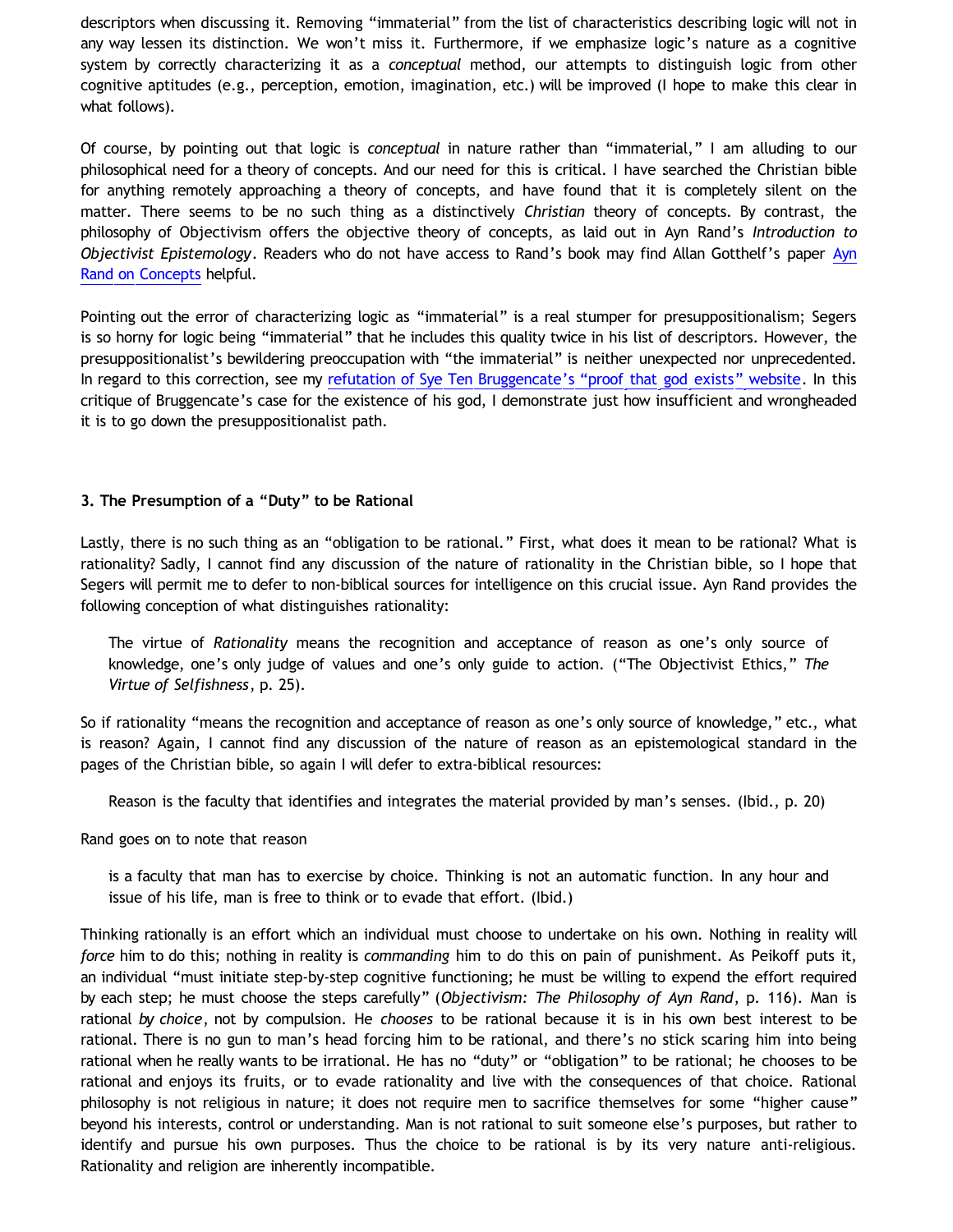descriptors when discussing it. Removing "immaterial" from the list of characteristics describing logic will not in any way lessen its distinction. We won't miss it. Furthermore, if we emphasize logic's nature as a cognitive system by correctly characterizing it as a *conceptual* method, our attempts to distinguish logic from other cognitive aptitudes (e.g., perception, emotion, imagination, etc.) will be improved (I hope to make this clear in what follows).

Of course, by pointing out that logic is *conceptual* in nature rather than "immaterial," I am alluding to our philosophical need for a theory of concepts. And our need for this is critical. I have searched the Christian bible for anything remotely approaching a theory of concepts, and have found that it is completely silent on the matter. There seems to be no such thing as a distinctively *Christian* theory of concepts. By contrast, the philosophy of Objectivism offers the objective theory of concepts, as laid out in Ayn Rand's *Introduction to Objectivist Epistemology*. Readers who do not have access to Rand's book may find Allan Gotthelf's paper [Ayn](http://www.bristol.ac.uk/metaphysicsofscience/naicpapers/gotthelf.pdf) [Rand on Concepts](http://www.bristol.ac.uk/metaphysicsofscience/naicpapers/gotthelf.pdf) helpful.

Pointing out the error of characterizing logic as "immaterial" is a real stumper for presuppositionalism; Segers is so horny for logic being "immaterial" that he includes this quality twice in his list of descriptors. However, the presuppositionalist's bewildering preoccupation with "the immaterial" is neither unexpected nor unprecedented. In regard to this correction, see my [refutation of Sye Ten Bruggencate's](http://bahnsenburner.blogspot.com/2010/08/critique-of-sye-ten-bruggencates.html) ["proof that god exists" website](http://bahnsenburner.blogspot.com/2010/08/critique-of-sye-ten-bruggencates.html). In this critique of Bruggencate's case for the existence of his god, I demonstrate just how insufficient and wrongheaded it is to go down the presuppositionalist path.

## **3. The Presumption of a "Duty" to be Rational**

Lastly, there is no such thing as an "obligation to be rational." First, what does it mean to be rational? What is rationality? Sadly, I cannot find any discussion of the nature of rationality in the Christian bible, so I hope that Segers will permit me to defer to non-biblical sources for intelligence on this crucial issue. Ayn Rand provides the following conception of what distinguishes rationality:

The virtue of *Rationality* means the recognition and acceptance of reason as one's only source of knowledge, one's only judge of values and one's only guide to action. ("The Objectivist Ethics," *The Virtue of Selfishness*, p. 25).

So if rationality "means the recognition and acceptance of reason as one's only source of knowledge," etc., what is reason? Again, I cannot find any discussion of the nature of reason as an epistemological standard in the pages of the Christian bible, so again I will defer to extra-biblical resources:

Reason is the faculty that identifies and integrates the material provided by man's senses. (Ibid., p. 20)

Rand goes on to note that reason

is a faculty that man has to exercise by choice. Thinking is not an automatic function. In any hour and issue of his life, man is free to think or to evade that effort. (Ibid.)

Thinking rationally is an effort which an individual must choose to undertake on his own. Nothing in reality will *force* him to do this; nothing in reality is *commanding* him to do this on pain of punishment. As Peikoff puts it, an individual "must initiate step-by-step cognitive functioning; he must be willing to expend the effort required by each step; he must choose the steps carefully" (*Objectivism: The Philosophy of Ayn Rand*, p. 116). Man is rational *by choice*, not by compulsion. He *chooses* to be rational because it is in his own best interest to be rational. There is no gun to man's head forcing him to be rational, and there's no stick scaring him into being rational when he really wants to be irrational. He has no "duty" or "obligation" to be rational; he chooses to be rational and enjoys its fruits, or to evade rationality and live with the consequences of that choice. Rational philosophy is not religious in nature; it does not require men to sacrifice themselves for some "higher cause" beyond his interests, control or understanding. Man is not rational to suit someone else's purposes, but rather to identify and pursue his own purposes. Thus the choice to be rational is by its very nature anti-religious. Rationality and religion are inherently incompatible.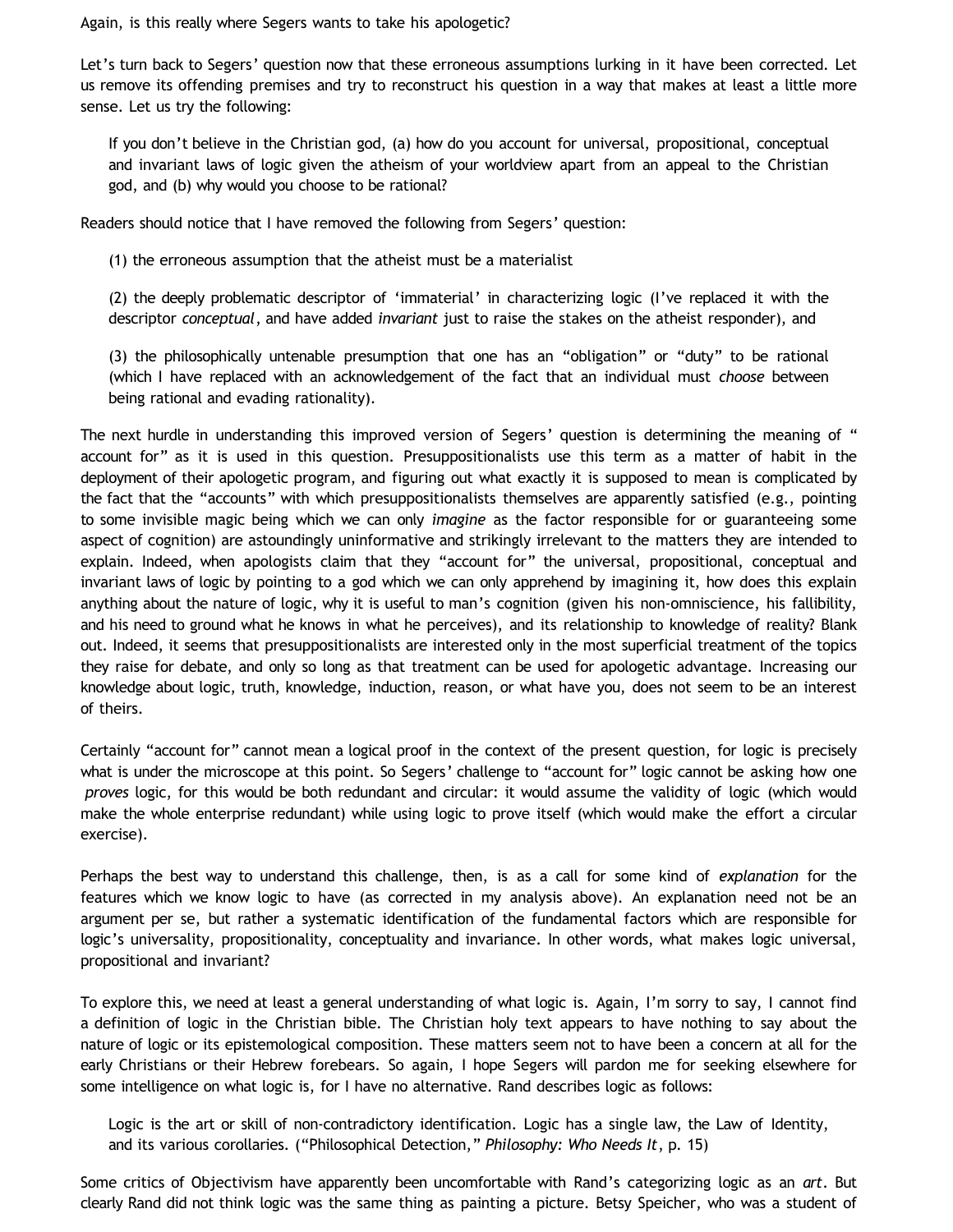Again, is this really where Segers wants to take his apologetic?

Let's turn back to Segers' question now that these erroneous assumptions lurking in it have been corrected. Let us remove its offending premises and try to reconstruct his question in a way that makes at least a little more sense. Let us try the following:

If you don't believe in the Christian god, (a) how do you account for universal, propositional, conceptual and invariant laws of logic given the atheism of your worldview apart from an appeal to the Christian god, and (b) why would you choose to be rational?

Readers should notice that I have removed the following from Segers' question:

(1) the erroneous assumption that the atheist must be a materialist

(2) the deeply problematic descriptor of 'immaterial' in characterizing logic (I've replaced it with the descriptor *conceptual*, and have added *invariant* just to raise the stakes on the atheist responder), and

(3) the philosophically untenable presumption that one has an "obligation" or "duty" to be rational (which I have replaced with an acknowledgement of the fact that an individual must *choose* between being rational and evading rationality).

The next hurdle in understanding this improved version of Segers' question is determining the meaning of " account for" as it is used in this question. Presuppositionalists use this term as a matter of habit in the deployment of their apologetic program, and figuring out what exactly it is supposed to mean is complicated by the fact that the "accounts" with which presuppositionalists themselves are apparently satisfied (e.g., pointing to some invisible magic being which we can only *imagine* as the factor responsible for or guaranteeing some aspect of cognition) are astoundingly uninformative and strikingly irrelevant to the matters they are intended to explain. Indeed, when apologists claim that they "account for" the universal, propositional, conceptual and invariant laws of logic by pointing to a god which we can only apprehend by imagining it, how does this explain anything about the nature of logic, why it is useful to man's cognition (given his non-omniscience, his fallibility, and his need to ground what he knows in what he perceives), and its relationship to knowledge of reality? Blank out. Indeed, it seems that presuppositionalists are interested only in the most superficial treatment of the topics they raise for debate, and only so long as that treatment can be used for apologetic advantage. Increasing our knowledge about logic, truth, knowledge, induction, reason, or what have you, does not seem to be an interest of theirs.

Certainly "account for" cannot mean a logical proof in the context of the present question, for logic is precisely what is under the microscope at this point. So Segers' challenge to "account for" logic cannot be asking how one *proves* logic, for this would be both redundant and circular: it would assume the validity of logic (which would make the whole enterprise redundant) while using logic to prove itself (which would make the effort a circular exercise).

Perhaps the best way to understand this challenge, then, is as a call for some kind of *explanation* for the features which we know logic to have (as corrected in my analysis above). An explanation need not be an argument per se, but rather a systematic identification of the fundamental factors which are responsible for logic's universality, propositionality, conceptuality and invariance. In other words, what makes logic universal, propositional and invariant?

To explore this, we need at least a general understanding of what logic is. Again, I'm sorry to say, I cannot find a definition of logic in the Christian bible. The Christian holy text appears to have nothing to say about the nature of logic or its epistemological composition. These matters seem not to have been a concern at all for the early Christians or their Hebrew forebears. So again, I hope Segers will pardon me for seeking elsewhere for some intelligence on what logic is, for I have no alternative. Rand describes logic as follows:

Logic is the art or skill of non-contradictory identification. Logic has a single law, the Law of Identity, and its various corollaries. ("Philosophical Detection," *Philosophy: Who Needs It*, p. 15)

Some critics of Objectivism have apparently been uncomfortable with Rand's categorizing logic as an *art*. But clearly Rand did not think logic was the same thing as painting a picture. Betsy Speicher, who was a student of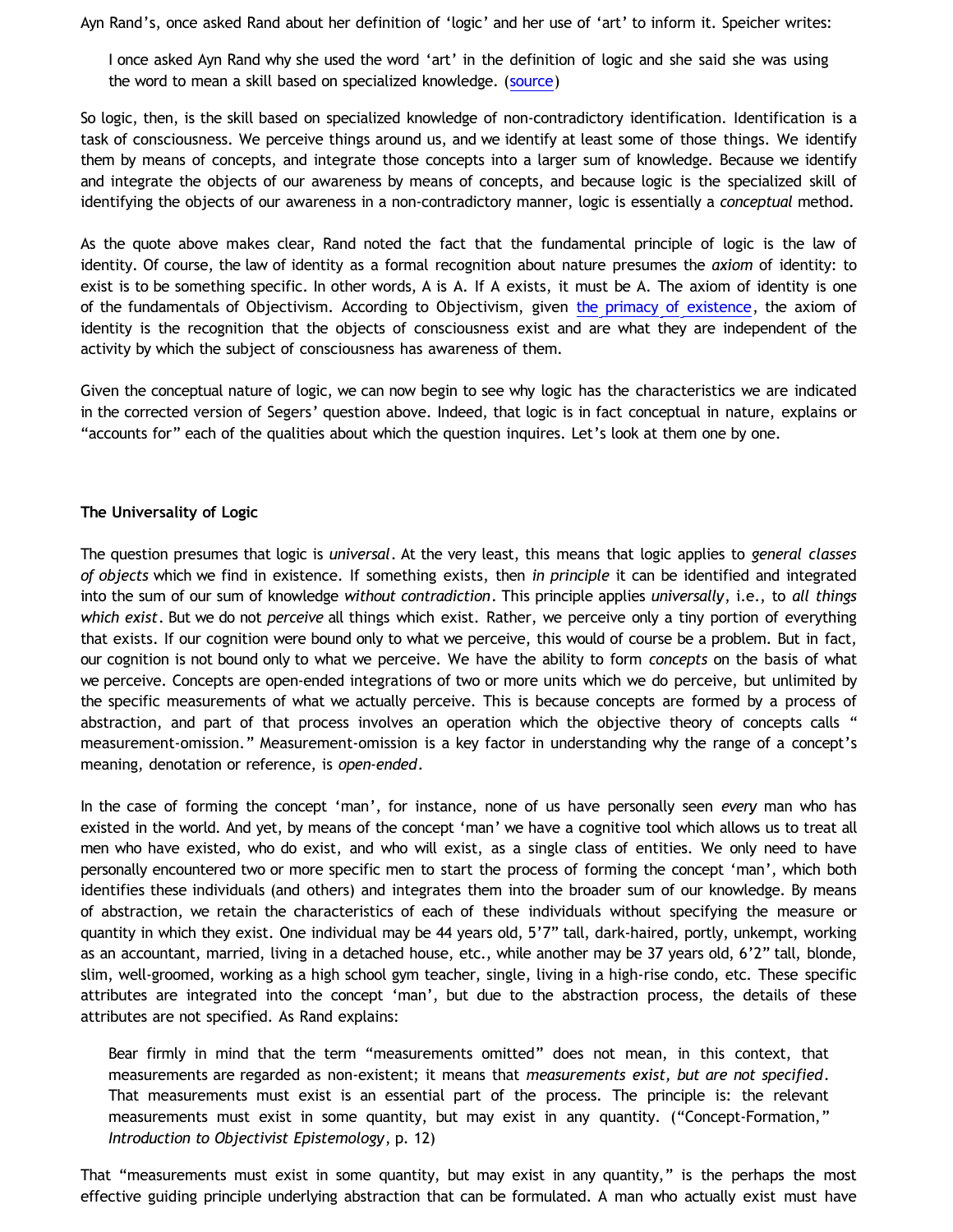Ayn Rand's, once asked Rand about her definition of 'logic' and her use of 'art' to inform it. Speicher writes:

I once asked Ayn Rand why she used the word 'art' in the definition of logic and she said she was using the word to mean a skill based on specialized knowledge. ([source](http://forum.objectivismonline.net/index.php?showtopic=2071&st=0&p=60690&hl=+noncontradictory%20+identification&fromsearch=1&))

So logic, then, is the skill based on specialized knowledge of non-contradictory identification. Identification is a task of consciousness. We perceive things around us, and we identify at least some of those things. We identify them by means of concepts, and integrate those concepts into a larger sum of knowledge. Because we identify and integrate the objects of our awareness by means of concepts, and because logic is the specialized skill of identifying the objects of our awareness in a non-contradictory manner, logic is essentially a *conceptual* method.

As the quote above makes clear, Rand noted the fact that the fundamental principle of logic is the law of identity. Of course, the law of identity as a formal recognition about nature presumes the *axiom* of identity: to exist is to be something specific. In other words, A is A. If A exists, it must be A. The axiom of identity is one of the fundamentals of Objectivism. According to Objectivism, given [the primacy of existence,](http://bahnsenburner.blogspot.com/2006/12/axioms-and-primacy-of-existence.html) the axiom of identity is the recognition that the objects of consciousness exist and are what they are independent of the activity by which the subject of consciousness has awareness of them.

Given the conceptual nature of logic, we can now begin to see why logic has the characteristics we are indicated in the corrected version of Segers' question above. Indeed, that logic is in fact conceptual in nature, explains or "accounts for" each of the qualities about which the question inquires. Let's look at them one by one.

## **The Universality of Logic**

The question presumes that logic is *universal*. At the very least, this means that logic applies to *general classes of objects* which we find in existence. If something exists, then *in principle* it can be identified and integrated into the sum of our sum of knowledge *without contradiction*. This principle applies *universally*, i.e., to *all things which exist*. But we do not *perceive* all things which exist. Rather, we perceive only a tiny portion of everything that exists. If our cognition were bound only to what we perceive, this would of course be a problem. But in fact, our cognition is not bound only to what we perceive. We have the ability to form *concepts* on the basis of what we perceive. Concepts are open-ended integrations of two or more units which we do perceive, but unlimited by the specific measurements of what we actually perceive. This is because concepts are formed by a process of abstraction, and part of that process involves an operation which the objective theory of concepts calls " measurement-omission." Measurement-omission is a key factor in understanding why the range of a concept's meaning, denotation or reference, is *open-ended*.

In the case of forming the concept 'man', for instance, none of us have personally seen *every* man who has existed in the world. And yet, by means of the concept 'man' we have a cognitive tool which allows us to treat all men who have existed, who do exist, and who will exist, as a single class of entities. We only need to have personally encountered two or more specific men to start the process of forming the concept 'man', which both identifies these individuals (and others) and integrates them into the broader sum of our knowledge. By means of abstraction, we retain the characteristics of each of these individuals without specifying the measure or quantity in which they exist. One individual may be 44 years old, 5'7" tall, dark-haired, portly, unkempt, working as an accountant, married, living in a detached house, etc., while another may be 37 years old, 6'2" tall, blonde, slim, well-groomed, working as a high school gym teacher, single, living in a high-rise condo, etc. These specific attributes are integrated into the concept 'man', but due to the abstraction process, the details of these attributes are not specified. As Rand explains:

Bear firmly in mind that the term "measurements omitted" does not mean, in this context, that measurements are regarded as non-existent; it means that *measurements exist, but are not specified*. That measurements must exist is an essential part of the process. The principle is: the relevant measurements must exist in some quantity, but may exist in any quantity. ("Concept-Formation," *Introduction to Objectivist Epistemology*, p. 12)

That "measurements must exist in some quantity, but may exist in any quantity," is the perhaps the most effective guiding principle underlying abstraction that can be formulated. A man who actually exist must have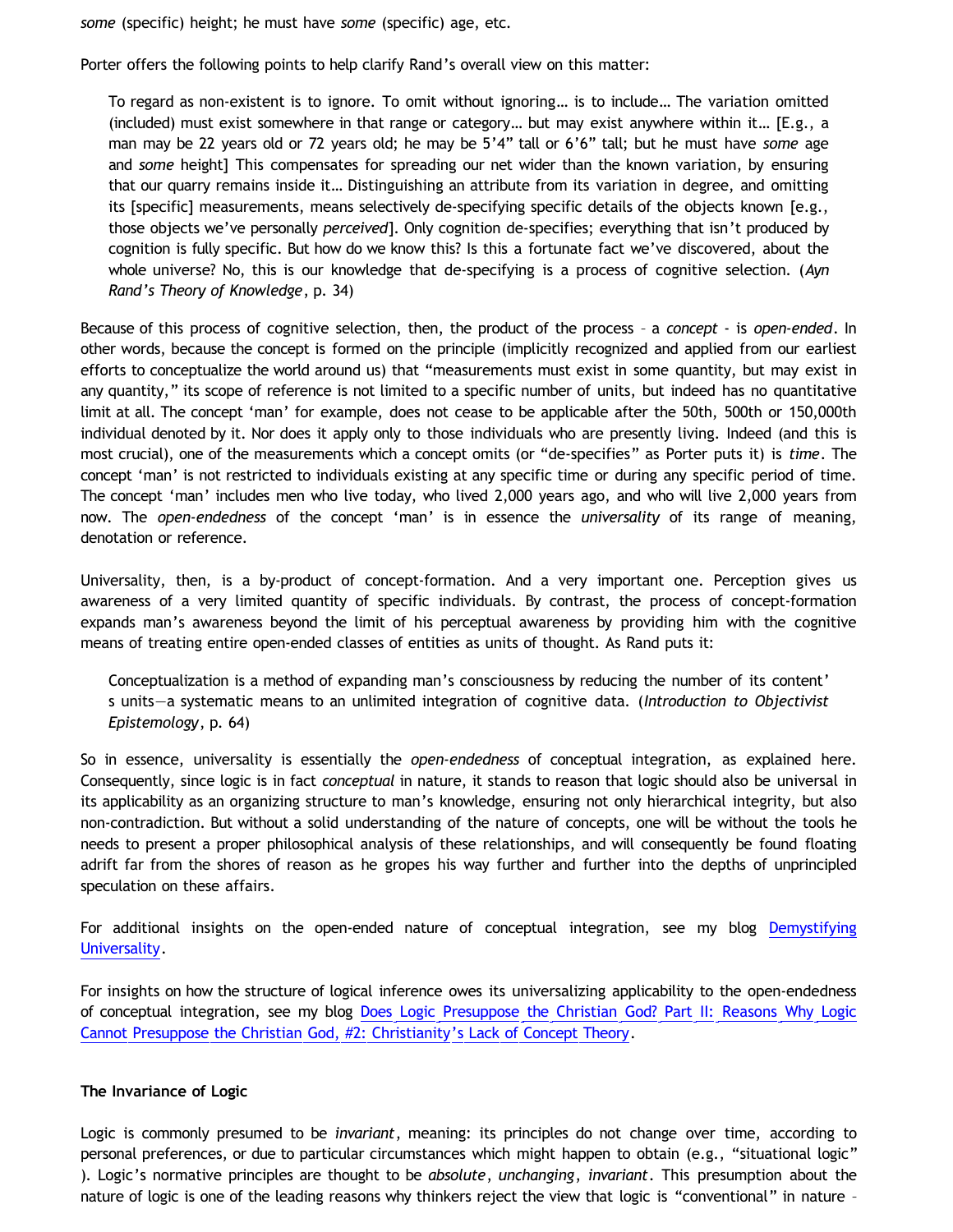*some* (specific) height; he must have *some* (specific) age, etc.

Porter offers the following points to help clarify Rand's overall view on this matter:

To regard as non-existent is to ignore. To omit without ignoring… is to include… The variation omitted (included) must exist somewhere in that range or category… but may exist anywhere within it… [E.g., a man may be 22 years old or 72 years old; he may be 5'4" tall or 6'6" tall; but he must have *some* age and *some* height] This compensates for spreading our net wider than the known variation, by ensuring that our quarry remains inside it… Distinguishing an attribute from its variation in degree, and omitting its [specific] measurements, means selectively de-specifying specific details of the objects known [e.g., those objects we've personally *perceived*]. Only cognition de-specifies; everything that isn't produced by cognition is fully specific. But how do we know this? Is this a fortunate fact we've discovered, about the whole universe? No, this is our knowledge that de-specifying is a process of cognitive selection. (*Ayn Rand's Theory of Knowledge*, p. 34)

Because of this process of cognitive selection, then, the product of the process – a *concept* - is *open-ended*. In other words, because the concept is formed on the principle (implicitly recognized and applied from our earliest efforts to conceptualize the world around us) that "measurements must exist in some quantity, but may exist in any quantity," its scope of reference is not limited to a specific number of units, but indeed has no quantitative limit at all. The concept 'man' for example, does not cease to be applicable after the 50th, 500th or 150,000th individual denoted by it. Nor does it apply only to those individuals who are presently living. Indeed (and this is most crucial), one of the measurements which a concept omits (or "de-specifies" as Porter puts it) is *time*. The concept 'man' is not restricted to individuals existing at any specific time or during any specific period of time. The concept 'man' includes men who live today, who lived 2,000 years ago, and who will live 2,000 years from now. The *open-endedness* of the concept 'man' is in essence the *universality* of its range of meaning, denotation or reference.

Universality, then, is a by-product of concept-formation. And a very important one. Perception gives us awareness of a very limited quantity of specific individuals. By contrast, the process of concept-formation expands man's awareness beyond the limit of his perceptual awareness by providing him with the cognitive means of treating entire open-ended classes of entities as units of thought. As Rand puts it:

Conceptualization is a method of expanding man's consciousness by reducing the number of its content' s units—a systematic means to an unlimited integration of cognitive data. (*Introduction to Objectivist Epistemology*, p. 64)

So in essence, universality is essentially the *open-endedness* of conceptual integration, as explained here. Consequently, since logic is in fact *conceptual* in nature, it stands to reason that logic should also be universal in its applicability as an organizing structure to man's knowledge, ensuring not only hierarchical integrity, but also non-contradiction. But without a solid understanding of the nature of concepts, one will be without the tools he needs to present a proper philosophical analysis of these relationships, and will consequently be found floating adrift far from the shores of reason as he gropes his way further and further into the depths of unprincipled speculation on these affairs.

For additional insights on the open-ended nature of conceptual integration, see my blog [Demystifying](http://bahnsenburner.blogspot.com/2009/06/demystifying-universality.html) [Universality.](http://bahnsenburner.blogspot.com/2009/06/demystifying-universality.html)

For insights on how the structure of logical inference owes its universalizing applicability to the open-endedness of conceptual integration, see my blog [Does Logic Presuppose the Christian God? Part II: Reasons Why Logic](http://bahnsenburner.blogspot.com/2009/07/does-logic-presuppose-christian-god_04.html) [Cannot Presuppose the Christian God, #2: Christianity's Lack of Concept Theory](http://bahnsenburner.blogspot.com/2009/07/does-logic-presuppose-christian-god_04.html).

#### **The Invariance of Logic**

Logic is commonly presumed to be *invariant*, meaning: its principles do not change over time, according to personal preferences, or due to particular circumstances which might happen to obtain (e.g., "situational logic" ). Logic's normative principles are thought to be *absolute*, *unchanging*, *invariant*. This presumption about the nature of logic is one of the leading reasons why thinkers reject the view that logic is "conventional" in nature –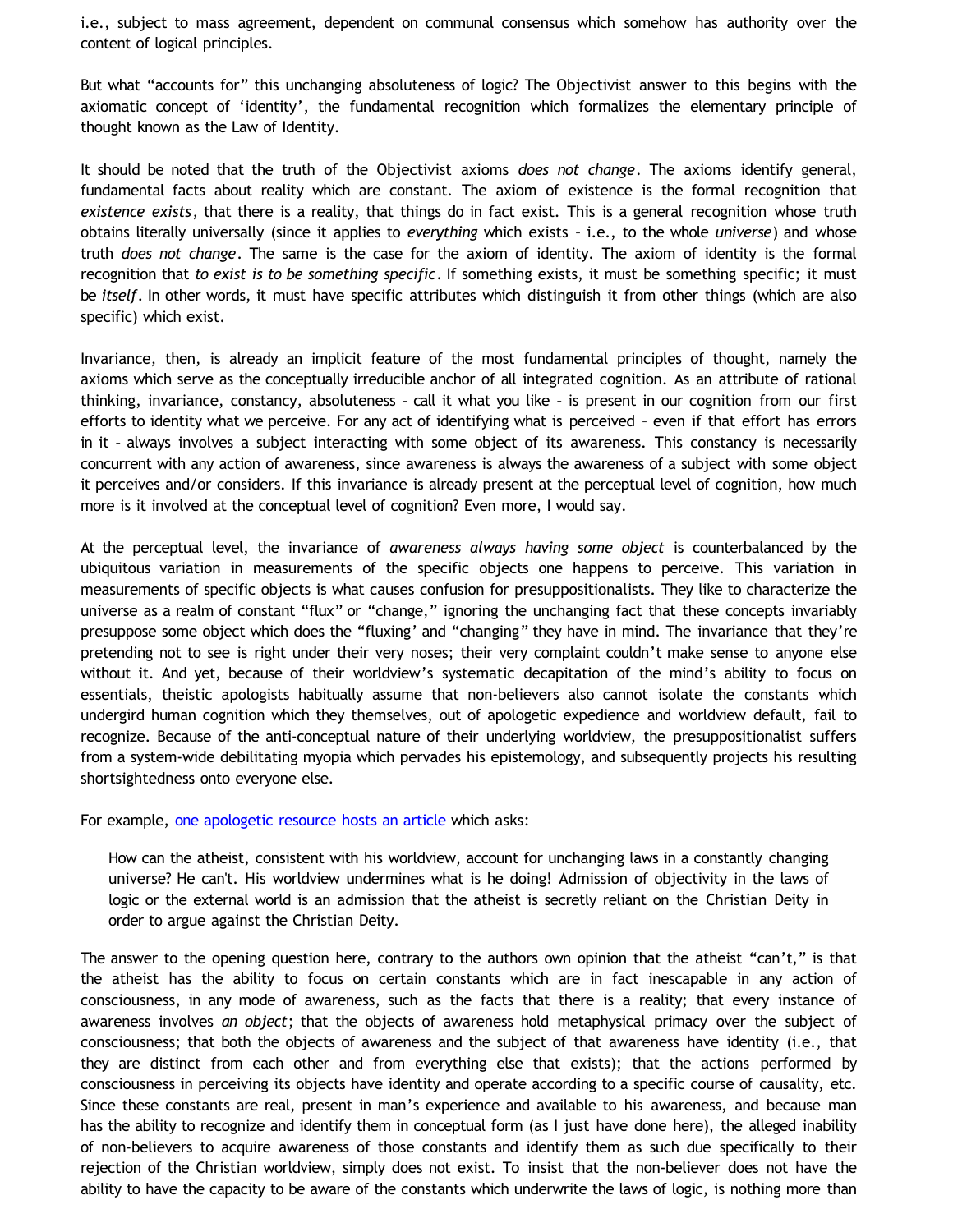i.e., subject to mass agreement, dependent on communal consensus which somehow has authority over the content of logical principles.

But what "accounts for" this unchanging absoluteness of logic? The Objectivist answer to this begins with the axiomatic concept of 'identity', the fundamental recognition which formalizes the elementary principle of thought known as the Law of Identity.

It should be noted that the truth of the Objectivist axioms *does not change*. The axioms identify general, fundamental facts about reality which are constant. The axiom of existence is the formal recognition that *existence exists*, that there is a reality, that things do in fact exist. This is a general recognition whose truth obtains literally universally (since it applies to *everything* which exists – i.e., to the whole *universe*) and whose truth *does not change*. The same is the case for the axiom of identity. The axiom of identity is the formal recognition that *to exist is to be something specific*. If something exists, it must be something specific; it must be *itself*. In other words, it must have specific attributes which distinguish it from other things (which are also specific) which exist.

Invariance, then, is already an implicit feature of the most fundamental principles of thought, namely the axioms which serve as the conceptually irreducible anchor of all integrated cognition. As an attribute of rational thinking, invariance, constancy, absoluteness – call it what you like – is present in our cognition from our first efforts to identity what we perceive. For any act of identifying what is perceived – even if that effort has errors in it – always involves a subject interacting with some object of its awareness. This constancy is necessarily concurrent with any action of awareness, since awareness is always the awareness of a subject with some object it perceives and/or considers. If this invariance is already present at the perceptual level of cognition, how much more is it involved at the conceptual level of cognition? Even more, I would say.

At the perceptual level, the invariance of *awareness always having some object* is counterbalanced by the ubiquitous variation in measurements of the specific objects one happens to perceive. This variation in measurements of specific objects is what causes confusion for presuppositionalists. They like to characterize the universe as a realm of constant "flux" or "change," ignoring the unchanging fact that these concepts invariably presuppose some object which does the "fluxing' and "changing" they have in mind. The invariance that they're pretending not to see is right under their very noses; their very complaint couldn't make sense to anyone else without it. And yet, because of their worldview's systematic decapitation of the mind's ability to focus on essentials, theistic apologists habitually assume that non-believers also cannot isolate the constants which undergird human cognition which they themselves, out of apologetic expedience and worldview default, fail to recognize. Because of the anti-conceptual nature of their underlying worldview, the presuppositionalist suffers from a system-wide debilitating myopia which pervades his epistemology, and subsequently projects his resulting shortsightedness onto everyone else.

For example, [one apologetic resource hosts an article](http://rightremedy.org/booklets/47) which asks:

How can the atheist, consistent with his worldview, account for unchanging laws in a constantly changing universe? He can't. His worldview undermines what is he doing! Admission of objectivity in the laws of logic or the external world is an admission that the atheist is secretly reliant on the Christian Deity in order to argue against the Christian Deity.

The answer to the opening question here, contrary to the authors own opinion that the atheist "can't," is that the atheist has the ability to focus on certain constants which are in fact inescapable in any action of consciousness, in any mode of awareness, such as the facts that there is a reality; that every instance of awareness involves *an object*; that the objects of awareness hold metaphysical primacy over the subject of consciousness; that both the objects of awareness and the subject of that awareness have identity (i.e., that they are distinct from each other and from everything else that exists); that the actions performed by consciousness in perceiving its objects have identity and operate according to a specific course of causality, etc. Since these constants are real, present in man's experience and available to his awareness, and because man has the ability to recognize and identify them in conceptual form (as I just have done here), the alleged inability of non-believers to acquire awareness of those constants and identify them as such due specifically to their rejection of the Christian worldview, simply does not exist. To insist that the non-believer does not have the ability to have the capacity to be aware of the constants which underwrite the laws of logic, is nothing more than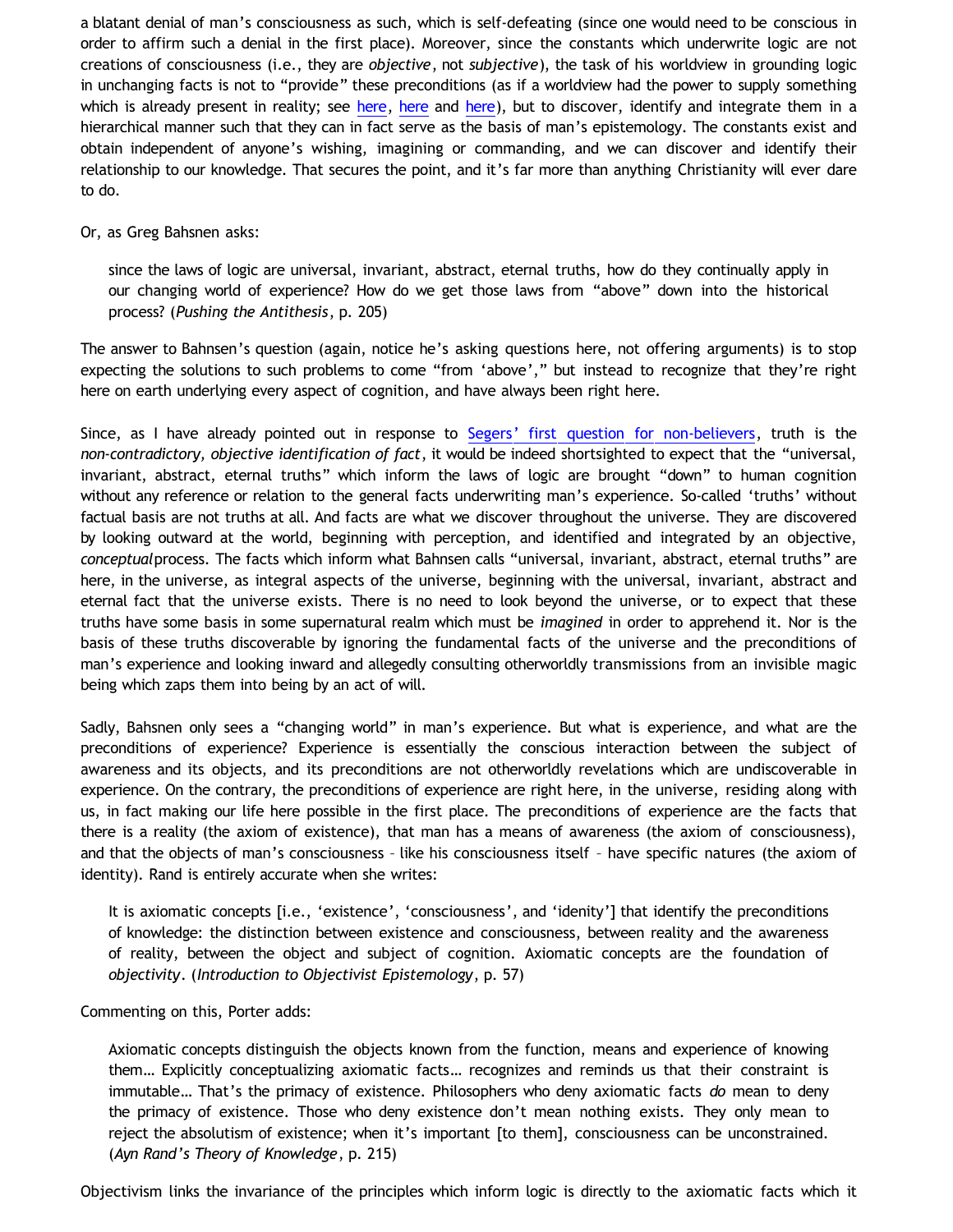a blatant denial of man's consciousness as such, which is self-defeating (since one would need to be conscious in order to affirm such a denial in the first place). Moreover, since the constants which underwrite logic are not creations of consciousness (i.e., they are *objective*, not *subjective*), the task of his worldview in grounding logic in unchanging facts is not to "provide" these preconditions (as if a worldview had the power to supply something which is already present in reality; see [here](http://bahnsenburner.blogspot.com/2012/03/can-worldview-provide-preconditions-of_17.html), here and [here\)](http://bahnsenburner.blogspot.com/2012/03/can-worldview-provide-preconditions-of_20.html), but to discover, identify and integrate them in a hierarchical manner such that they can in fact serve as the basis of man's epistemology. The constants exist and obtain independent of anyone's wishing, imagining or commanding, and we can discover and identify their relationship to our knowledge. That secures the point, and it's far more than anything Christianity will ever dare to do.

#### Or, as Greg Bahsnen asks:

since the laws of logic are universal, invariant, abstract, eternal truths, how do they continually apply in our changing world of experience? How do we get those laws from "above" down into the historical process? (*Pushing the Antithesis*, p. 205)

The answer to Bahnsen's question (again, notice he's asking questions here, not offering arguments) is to stop expecting the solutions to such problems to come "from 'above'," but instead to recognize that they're right here on earth underlying every aspect of cognition, and have always been right here.

Since, as I have already pointed out in response to [Segers' first question for non-believers](http://bahnsenburner.blogspot.com/2012/04/answering-dustin-segers.html), truth is the *non-contradictory, objective identification of fact*, it would be indeed shortsighted to expect that the "universal, invariant, abstract, eternal truths" which inform the laws of logic are brought "down" to human cognition without any reference or relation to the general facts underwriting man's experience. So-called 'truths' without factual basis are not truths at all. And facts are what we discover throughout the universe. They are discovered by looking outward at the world, beginning with perception, and identified and integrated by an objective, *conceptual*process. The facts which inform what Bahnsen calls "universal, invariant, abstract, eternal truths" are here, in the universe, as integral aspects of the universe, beginning with the universal, invariant, abstract and eternal fact that the universe exists. There is no need to look beyond the universe, or to expect that these truths have some basis in some supernatural realm which must be *imagined* in order to apprehend it. Nor is the basis of these truths discoverable by ignoring the fundamental facts of the universe and the preconditions of man's experience and looking inward and allegedly consulting otherworldly transmissions from an invisible magic being which zaps them into being by an act of will.

Sadly, Bahsnen only sees a "changing world" in man's experience. But what is experience, and what are the preconditions of experience? Experience is essentially the conscious interaction between the subject of awareness and its objects, and its preconditions are not otherworldly revelations which are undiscoverable in experience. On the contrary, the preconditions of experience are right here, in the universe, residing along with us, in fact making our life here possible in the first place. The preconditions of experience are the facts that there is a reality (the axiom of existence), that man has a means of awareness (the axiom of consciousness), and that the objects of man's consciousness – like his consciousness itself – have specific natures (the axiom of identity). Rand is entirely accurate when she writes:

It is axiomatic concepts [i.e., 'existence', 'consciousness', and 'idenity'] that identify the preconditions of knowledge: the distinction between existence and consciousness, between reality and the awareness of reality, between the object and subject of cognition. Axiomatic concepts are the foundation of *objectivity*. (*Introduction to Objectivist Epistemology*, p. 57)

#### Commenting on this, Porter adds:

Axiomatic concepts distinguish the objects known from the function, means and experience of knowing them… Explicitly conceptualizing axiomatic facts… recognizes and reminds us that their constraint is immutable… That's the primacy of existence. Philosophers who deny axiomatic facts *do* mean to deny the primacy of existence. Those who deny existence don't mean nothing exists. They only mean to reject the absolutism of existence; when it's important [to them], consciousness can be unconstrained. (*Ayn Rand's Theory of Knowledge*, p. 215)

Objectivism links the invariance of the principles which inform logic is directly to the axiomatic facts which it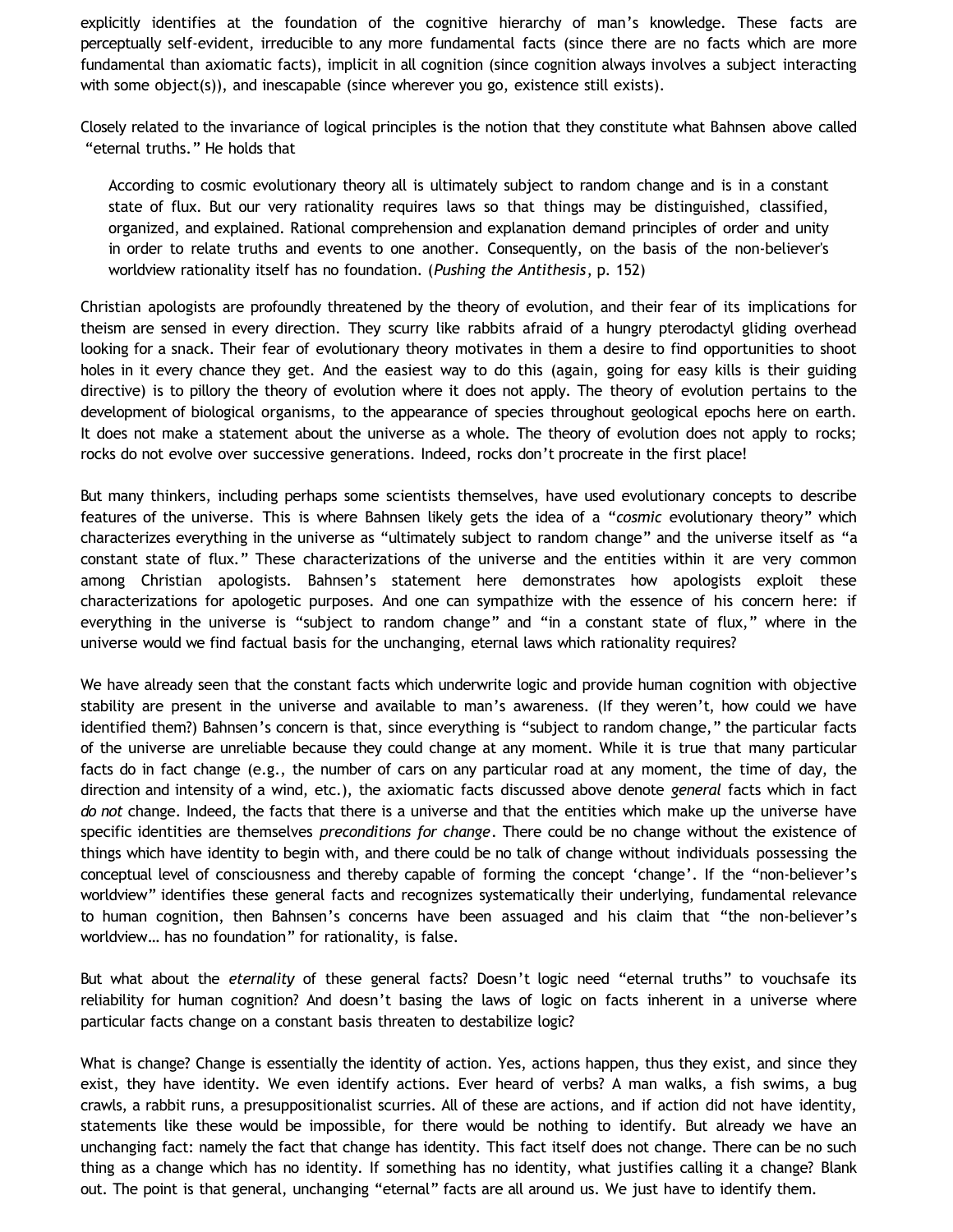explicitly identifies at the foundation of the cognitive hierarchy of man's knowledge. These facts are perceptually self-evident, irreducible to any more fundamental facts (since there are no facts which are more fundamental than axiomatic facts), implicit in all cognition (since cognition always involves a subject interacting with some object(s)), and inescapable (since wherever you go, existence still exists).

Closely related to the invariance of logical principles is the notion that they constitute what Bahnsen above called "eternal truths." He holds that

According to cosmic evolutionary theory all is ultimately subject to random change and is in a constant state of flux. But our very rationality requires laws so that things may be distinguished, classified, organized, and explained. Rational comprehension and explanation demand principles of order and unity in order to relate truths and events to one another. Consequently, on the basis of the non-believer's worldview rationality itself has no foundation. (*Pushing the Antithesis*, p. 152)

Christian apologists are profoundly threatened by the theory of evolution, and their fear of its implications for theism are sensed in every direction. They scurry like rabbits afraid of a hungry pterodactyl gliding overhead looking for a snack. Their fear of evolutionary theory motivates in them a desire to find opportunities to shoot holes in it every chance they get. And the easiest way to do this (again, going for easy kills is their guiding directive) is to pillory the theory of evolution where it does not apply. The theory of evolution pertains to the development of biological organisms, to the appearance of species throughout geological epochs here on earth. It does not make a statement about the universe as a whole. The theory of evolution does not apply to rocks; rocks do not evolve over successive generations. Indeed, rocks don't procreate in the first place!

But many thinkers, including perhaps some scientists themselves, have used evolutionary concepts to describe features of the universe. This is where Bahnsen likely gets the idea of a "*cosmic* evolutionary theory" which characterizes everything in the universe as "ultimately subject to random change" and the universe itself as "a constant state of flux." These characterizations of the universe and the entities within it are very common among Christian apologists. Bahnsen's statement here demonstrates how apologists exploit these characterizations for apologetic purposes. And one can sympathize with the essence of his concern here: if everything in the universe is "subject to random change" and "in a constant state of flux," where in the universe would we find factual basis for the unchanging, eternal laws which rationality requires?

We have already seen that the constant facts which underwrite logic and provide human cognition with objective stability are present in the universe and available to man's awareness. (If they weren't, how could we have identified them?) Bahnsen's concern is that, since everything is "subject to random change," the particular facts of the universe are unreliable because they could change at any moment. While it is true that many particular facts do in fact change (e.g., the number of cars on any particular road at any moment, the time of day, the direction and intensity of a wind, etc.), the axiomatic facts discussed above denote *general* facts which in fact *do not* change. Indeed, the facts that there is a universe and that the entities which make up the universe have specific identities are themselves *preconditions for change*. There could be no change without the existence of things which have identity to begin with, and there could be no talk of change without individuals possessing the conceptual level of consciousness and thereby capable of forming the concept 'change'. If the "non-believer's worldview" identifies these general facts and recognizes systematically their underlying, fundamental relevance to human cognition, then Bahnsen's concerns have been assuaged and his claim that "the non-believer's worldview… has no foundation" for rationality, is false.

But what about the *eternality* of these general facts? Doesn't logic need "eternal truths" to vouchsafe its reliability for human cognition? And doesn't basing the laws of logic on facts inherent in a universe where particular facts change on a constant basis threaten to destabilize logic?

What is change? Change is essentially the identity of action. Yes, actions happen, thus they exist, and since they exist, they have identity. We even identify actions. Ever heard of verbs? A man walks, a fish swims, a bug crawls, a rabbit runs, a presuppositionalist scurries. All of these are actions, and if action did not have identity, statements like these would be impossible, for there would be nothing to identify. But already we have an unchanging fact: namely the fact that change has identity. This fact itself does not change. There can be no such thing as a change which has no identity. If something has no identity, what justifies calling it a change? Blank out. The point is that general, unchanging "eternal" facts are all around us. We just have to identify them.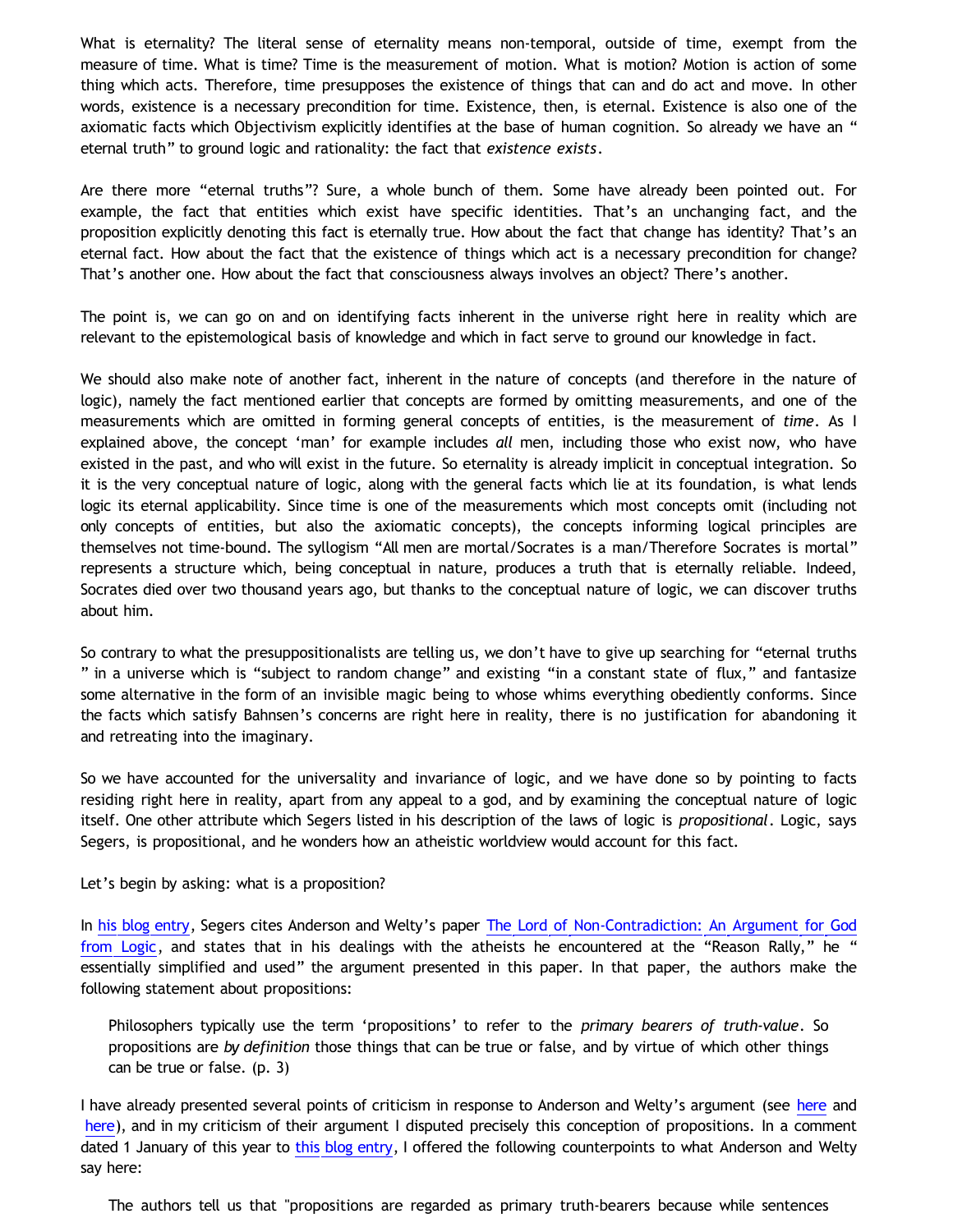What is eternality? The literal sense of eternality means non-temporal, outside of time, exempt from the measure of time. What is time? Time is the measurement of motion. What is motion? Motion is action of some thing which acts. Therefore, time presupposes the existence of things that can and do act and move. In other words, existence is a necessary precondition for time. Existence, then, is eternal. Existence is also one of the axiomatic facts which Objectivism explicitly identifies at the base of human cognition. So already we have an " eternal truth" to ground logic and rationality: the fact that *existence exists*.

Are there more "eternal truths"? Sure, a whole bunch of them. Some have already been pointed out. For example, the fact that entities which exist have specific identities. That's an unchanging fact, and the proposition explicitly denoting this fact is eternally true. How about the fact that change has identity? That's an eternal fact. How about the fact that the existence of things which act is a necessary precondition for change? That's another one. How about the fact that consciousness always involves an object? There's another.

The point is, we can go on and on identifying facts inherent in the universe right here in reality which are relevant to the epistemological basis of knowledge and which in fact serve to ground our knowledge in fact.

We should also make note of another fact, inherent in the nature of concepts (and therefore in the nature of logic), namely the fact mentioned earlier that concepts are formed by omitting measurements, and one of the measurements which are omitted in forming general concepts of entities, is the measurement of *time*. As I explained above, the concept 'man' for example includes *all* men, including those who exist now, who have existed in the past, and who will exist in the future. So eternality is already implicit in conceptual integration. So it is the very conceptual nature of logic, along with the general facts which lie at its foundation, is what lends logic its eternal applicability. Since time is one of the measurements which most concepts omit (including not only concepts of entities, but also the axiomatic concepts), the concepts informing logical principles are themselves not time-bound. The syllogism "All men are mortal/Socrates is a man/Therefore Socrates is mortal" represents a structure which, being conceptual in nature, produces a truth that is eternally reliable. Indeed, Socrates died over two thousand years ago, but thanks to the conceptual nature of logic, we can discover truths about him.

So contrary to what the presuppositionalists are telling us, we don't have to give up searching for "eternal truths " in a universe which is "subject to random change" and existing "in a constant state of flux," and fantasize some alternative in the form of an invisible magic being to whose whims everything obediently conforms. Since the facts which satisfy Bahnsen's concerns are right here in reality, there is no justification for abandoning it and retreating into the imaginary.

So we have accounted for the universality and invariance of logic, and we have done so by pointing to facts residing right here in reality, apart from any appeal to a god, and by examining the conceptual nature of logic itself. One other attribute which Segers listed in his description of the laws of logic is *propositional*. Logic, says Segers, is propositional, and he wonders how an atheistic worldview would account for this fact.

Let's begin by asking: what is a proposition?

In [his blog entry](http://graceinthetriad.blogspot.com/2012/03/outreach-report-reason-rally-2012.html), Segers cites Anderson and Welty's paper [The Lord of Non-Contradiction: An Argument for God](http://www.proginosko.com/docs/The_Lord_of_Non-Contradiction.pdf) [from Logic](http://www.proginosko.com/docs/The_Lord_of_Non-Contradiction.pdf), and states that in his dealings with the atheists he encountered at the "Reason Rally," he " essentially simplified and used" the argument presented in this paper. In that paper, the authors make the following statement about propositions:

Philosophers typically use the term 'propositions' to refer to the *primary bearers of truth-value*. So propositions are *by definition* those things that can be true or false, and by virtue of which other things can be true or false. (p. 3)

I have already presented several points of criticism in response to Anderson and Welty's argument (see [here](http://bahnsenburner.blogspot.com/2012/01/are-laws-of-logic-thoughts-of-christian.html) and [here](http://bahnsenburner.blogspot.com/2012/02/reaction-to-my-critique-of-anderson-and.html)), and in my criticism of their argument I disputed precisely this conception of propositions. In a comment dated 1 January of this year to [this blog entry,](http://bahnsenburner.blogspot.com/2012/01/are-laws-of-logic-thoughts-of-christian.html) I offered the following counterpoints to what Anderson and Welty say here:

The authors tell us that "propositions are regarded as primary truth-bearers because while sentences